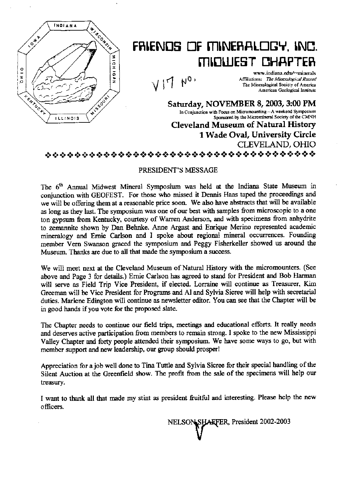

# FRIENDS OF MINERALOGY, INC. MINUEST CHAPTER

 $VII N<sub>0</sub>$ 

www.indiana.edu/\*minerals Affiliations: The Mineralogical Record The Mineralogical Society of America American Geological Institute

Saturday, NOVEMBER 8, 2003, 3:00 PM In Conjunction with Focus on Micromounting-A weekend Symposium Sponsored by the Micromineral Society of the CMNH Cleveland Museum of Natural History 1 Wade Oval, University Circle CLEVELAND. OHIO «;»«:..S»«:.¢.:.«:»«:\*«:»«;.«;.«:»«:»«>iS».:S-:S¢:»«>4€»¢®>.:.¢«3.«;.«:.«:.«:»i[+«:\*«:S¢:\*«:S¢\*:++:+

# PRESIDENT'S MESSAGE

The 6<sup>th</sup> Annual Midwest Mineral Symposium was held at the Indiana State Museum in conjunction with GEOFEST. For those who missed it Dennis Haas taped the proceedings and we will be offering them at a reasomble price soon. We also have abstracts that will be available as long as they last. The symposium was one of our best with samples from microscopic to a one ton gypsum from Kentucky, courtesy of Warren Anderson, and with specimens from anhydrite to zemannite shown by Dan Behnke. Anne Argast and Enrique Merino represented academic mineralogy and Ernie Carlson and I spoke about regional mineral occurrences. Founding member Vern Swanson graced the symposium and Peggy Fisherkeller showed us around the Museum. Thanks are due to all that made the symposium a success.

We will meet next at the Cleveland Museum of Natural History with the micromounters. (See above and Page 3 for detals.) Emie Carlson has agreed to stand for President and Bob Harman will serve as Field Trip Vice President, if elected. Lorraine will continue as Treasurer, Kim Greeman will be Vice President for Programs and Al and Sylvia Sicree will help with secretarial duties. Marlene Edington will continue as newsletter editor. You can see that the Chapter will be in good hands if you vote for the proposed slate.

The Chapter needs to continue our field trips, meetings and educational efforts. It really needs and deserves active participation from members to remain strong. I spoke to the new Mississippi Valley Chapter and forty people attended their symposium. We have some ways to go, but with member support and new leadership, our group should prosper!

Appreciation for a job well done to Tina Tuttle and Sylvia Sicree for their special handling of the Silent Auction at the Greenfield show. The profit from the sale of the specimens will help our treasury.

I want to thank all that made my stint as president fruitful and interesting. Please help the new officers.

> SHAFFER, President 2002-2003 **NELSON**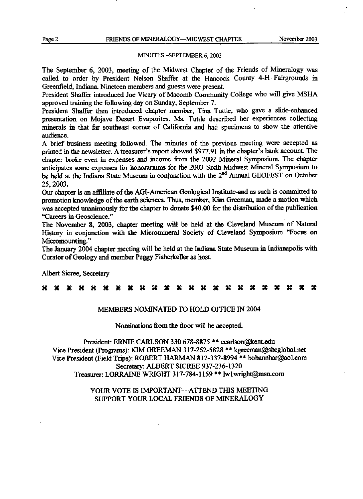## MINUTES -SEPTEMBER 6, 2003

The September 6, 2003, meeting of the Midwest Chapter of the Friends of Mineralogy was called to order by President Nelson Shaffer at the Hancock County 4-H Fairgrounds in Greenfield, Indiana. Nineteen members and guests were present.

President Shaffer introduced Joe Vicary of Macomb Community College who will give MSHA approved training the following day on Sunday, September 7.

President Shaffer then introduced chapter member, Tina Tuttle, who gave a slide-enhanced presentation on Mojave Desert Evaporites. Ms. Tuttle described her experiences collecting minerals in that far southeast comer of California and had specimens to show the attentive audience.

A brief business meeting followed. The minutes of the previous meeting were accepted as printed in the newsletter. A treasurer's report showed \$977.91 in the chapter's bank account. The chapter broke even in expenses and income from the 2002 Mineral Symposium. The chapter anticipates some expenses for honorariums for the 2003 Sixth Midwest Mineral Symposium to be held at the Indiana State Museum in conjunction with the 2<sup>nd</sup> Annual GEOFEST on October 25, 2003.

Our chapter is an affiliate of the AGI-American Geological Institute-and as such is committed to promotion knowledge of the earth sciences. Thus, member, Kim Greeman, made a motion which was accepted unanimously for the chapter to donate \$40.00 for the distribution of the publication "Careers in Geoscience."

The November 8, 2003, chapter meeting will be held at the Cleveland Museum of Natural History in conjunction with the Micromineral Society of Cleveland Symposium "Focus on Micromounting."

The January 2004 chapter meeting will be held at the Indiana State Museum in Indianapolis with Curator of Geology and member Peggy Fisherkeller as host.

Albert Sicree, Secretary

# 3€ 39 3€ 3€ 3€ 3€ 3€ 3€ 3€ 3€ 3€ 3€ 3€ 3€ 3€ 3€ 3€ 39 3€ as 3€ #

# MEMBERS NOMINATED TO HOLD OFFICE IN 2004

Nominations from the floor will be accepted.

President: ERNIE CARLSON 330 678-8875 \*\* ecarlson@kent.edu Vice President (Programs): KIM GREEMAN 317-252-5828 \*\* kgreeman@sbcglobal.net Vice President (Field Trips): ROBERT HARMAN 812-337-8994<sup>\*\*</sup> bobannhar@aol.com Secretary: ALBERT SICREE 937-236-1320 Treasurer: LORRAINE WRIGHT 317-784-1159 \*\* lw1wright@msn.com

> YOUR VOTE IS IMPORTANT--- ATTEND THIS MEETING SUPPORT YOUR LOCAL FRIENDS OF MINERALOGY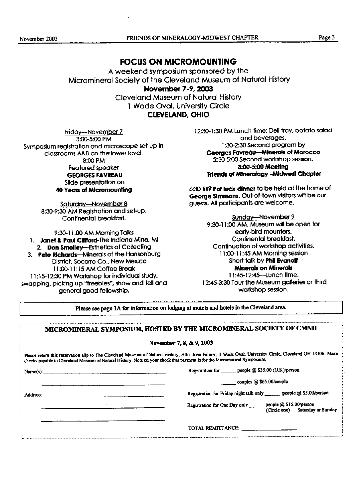# FOCUS ON MICROMOUNTING

A weekend symposium sponsored by the Micromineral Society of the cleveland Museum of Natural History November 7-9, 2003 Cleveland Museum of Natural History 1 Wade Oval, University Circle

CLEVELAND, OHIO

Friday-November 7 3:00-5:cO PM Symposium registration and microscope setup in classrooms A&B on the lower level, 8:cO PM Featured speaker GEORGES FAVREAu Slide presentation on 40 Years of Micromouuling

> Saturday-November 8 8:30-9:30 AM Registration and set-up. Continental breakfast.

> > 9:30-11 :00 AM Morning Talks

1. Janet & Paul Clifford-The Indiana Mine, MI 2. Don Smolley---Esthetics of Collecting

3. Pete Richards-Minerals of the Hansonburg District, Socorro Co., New Mexico 11 :00-11 : 15 AM Coffee Break 11 : 15-12:30 PM Workshop for individual study, swapping, picking up "freebies", show and tell and general good fellowship.

12:30-1 :30 PM Lunch time: Deli tray, potato salad and beverages. 1 :30-2:30 Second program by Georges Favreau-Minerals of Morocco 2:30-5:00 Second workshop session. 3:00-5:00 Meeflng Friends of Mineralogy - Midwest Chapter

6:30 till? Pot luck dinner to be held at the home of George Simmons. Out-of-town visitors will be our guests. All participants are welcome.

Sunday-November 9 9:30-11:00 AM. Museum will be open for early-bird mounters. Continental breakfast. Continuation of workshop activities. 11 :00-11 :45 AM Morning session Short talk by Phil Evanoff Mjnerols on Mfnerol\$ 11:45-12:45-Lunch time. 12:45-3:30 Tour the Museum galleries or third. workshop session.

Please see page 3A for information on lodging at motels and hotels in the Cleveland area.

| MICROMINERAL SYMPOSIUM, HOSTED BY THE MICROMINERAL SOCIETY OF CMNH                                                                                                                                                                                                                       |
|------------------------------------------------------------------------------------------------------------------------------------------------------------------------------------------------------------------------------------------------------------------------------------------|
| November 7, 8, & 9, 2003                                                                                                                                                                                                                                                                 |
| Piease return this reservation slip to The Cleveland Muscum of Natural History, Attn: Joan Palmer, 1 Wade Oval, University Circle, Cleveland OH 44106. Make<br>checks payable to Cleveland Museum of Natural History. Note on your check that payment is for the Micromineral Symposium. |
| Registration for _______ people @ \$35.00 (U.S.)/person<br>Name(s): $\frac{1}{2}$ Name(s):                                                                                                                                                                                               |
| $\_\_$ couples @ \$65.00/couple                                                                                                                                                                                                                                                          |
| Registration for Friday night talk only _______ people @ \$5.00/person                                                                                                                                                                                                                   |
| Registration for One Day only ______ people @ \$15.00/person<br>(Circle one) Saturday or Sunday                                                                                                                                                                                          |
| TOTAL REMITTANCE:                                                                                                                                                                                                                                                                        |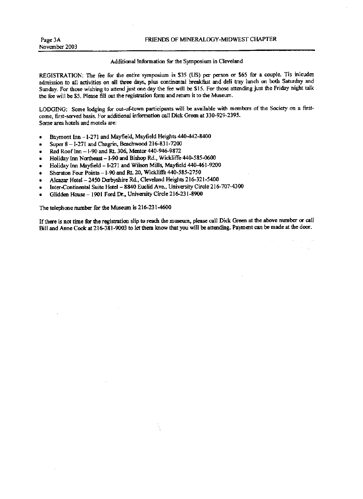## Additional information for the Symposium in Cleveland

REGISTRATION: The fee for the entire symposium is \$35 (US) per person or \$65 for a couple. Tis inlcudes admission to all activities on all three days, plus continental breakfast and deli tray lunch on both Saturday and Sunday. For those wishing to attend just one day the fee will be \$15. For those attending just the Friday night talk the fee will be \$5. Please fill out the registration form and return it to the Museum.

LODGING: Some lodging for out-of-town participants will be available with members of the Society on a firstcome, first-served basis. For additional information call Dick Green at 330-929-2395. Some area hotels and motels are:

- Baymont Inn I-271 and Mayfield, Mayfield Heights 440-442-8400
- Super  $8 1-271$  and Chagrin, Beachwood  $216-831-7200$
- Red Rooflrm -I-90 and Rt. 306, Mentor 440-946-9872
- Holiday Inn Northeast I-90 and Bishop Rd., Wickliffe 440-585-0600
- Holiday Inn Mayfield I-271 and Wilson Mills, Mayfield 440-461-9200
- Sheraton Four Points I-90 and Rt. 20, Wickliffe 440-585-2750
- Alcarar Hotel -2450 Derbyshire Rd., Cleveland Heichts 216-32l-5400
- Inter-Continental Suite Hotel 8840 Euclid Ave., University Circle 216-707-4300
- Glidden House 1901 Ford Dr., University Circle 216-231-8900

The telephone number for the Museum is 216-231-4600

If there is not time for the registration slip to reach the museum, please call Dick Green at the above number or call Bill and Anne Cook at 216-381-9003 to let them know that you will be attending. Payment can be made at the door.